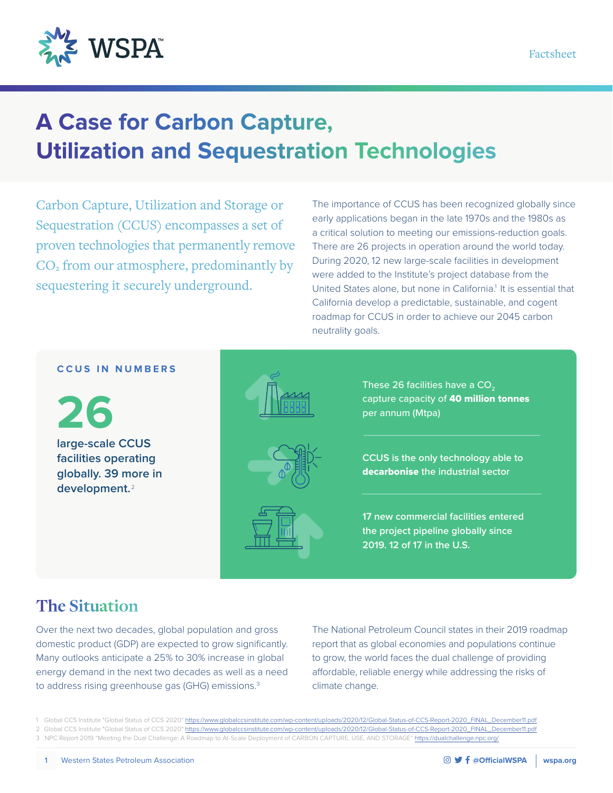

# **A Case for Carbon Capture, Utilization and Sequestration Technologies**

Carbon Capture, Utilization and Storage or Sequestration (CCUS) encompasses a set of proven technologies that permanently remove  $CO<sub>2</sub>$  from our atmosphere, predominantly by sequestering it securely underground.

The importance of CCUS has been recognized globally since early applications began in the late 1970s and the 1980s as a critical solution to meeting our emissions-reduction goals. There are 26 projects in operation around the world today. During 2020, 12 new large-scale facilities in development were added to the Institute's project database from the United States alone, but none in California.<sup>1</sup> It is essential that California develop a predictable, sustainable, and cogent roadmap for CCUS in order to achieve our 2045 carbon neutrality goals.

#### **CCUS IN NUMBERS**

**26 large-scale CCUS facilities operating globally. 39 more in development.** <sup>2</sup>







These 26 facilities have a  $CO<sub>2</sub>$ capture capacity of 40 million tonnes per annum (Mtpa)

**CCUS is the only technology able to**  decarbonise **the industrial sector**

**17 new commercial facilities entered the project pipeline globally since 2019. 12 of 17 in the U.S.**

### **The Situation**

Over the next two decades, global population and gross domestic product (GDP) are expected to grow significantly. Many outlooks anticipate a 25% to 30% increase in global energy demand in the next two decades as well as a need to address rising greenhouse gas (GHG) emissions.<sup>3</sup>

The National Petroleum Council states in their 2019 roadmap report that as global economies and populations continue to grow, the world faces the dual challenge of providing affordable, reliable energy while addressing the risks of climate change.

<sup>1</sup> Global CCS Institute "Global Status of CCS 2020" [https://www.globalccsinstitute.com/wp-content/uploads/2020/12/Global-Status-of-CCS-Report-2020\\_FINAL\\_December11.pdf](https://www.globalccsinstitute.com/wp-content/uploads/2020/12/Global-Status-of-CCS-Report-2020_FINAL_December11.pdf)

<sup>2</sup> Global CCS Institute "Global Status of CCS 2020" https://www.globalccsinstitute.com/wp-content/uploads/2020/12/Global-Status-of-CCS-Report-2020\_FINAL\_Dec 3 NPC Report 2019 "Meeting the Dual Challenge: A Roadmap to At-Scale Deployment of CARBON CAPTURE, USE, AND STORAGE"<https://dualchallenge.npc.org/>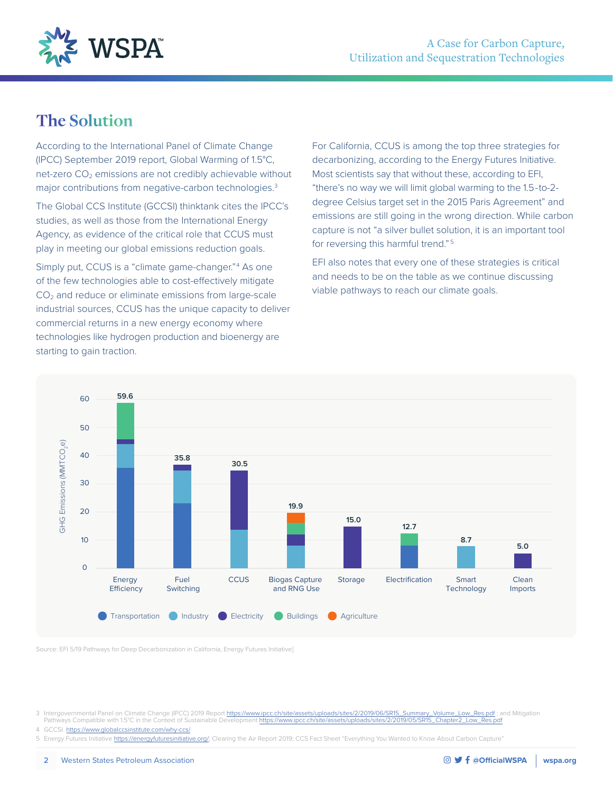

### **The Solution**

According to the International Panel of Climate Change (IPCC) September 2019 report, Global Warming of 1.5°C, net-zero  $CO<sub>2</sub>$  emissions are not credibly achievable without major contributions from negative-carbon technologies.<sup>3</sup>

The Global CCS Institute (GCCSI) thinktank cites the IPCC's studies, as well as those from the International Energy Agency, as evidence of the critical role that CCUS must play in meeting our global emissions reduction goals.

Simply put, CCUS is a "climate game-changer."<sup>4</sup> As one of the few technologies able to cost-effectively mitigate CO2 and reduce or eliminate emissions from large-scale industrial sources, CCUS has the unique capacity to deliver commercial returns in a new energy economy where technologies like hydrogen production and bioenergy are starting to gain traction.

For California, CCUS is among the top three strategies for decarbonizing, according to the Energy Futures Initiative. Most scientists say that without these, according to EFI, "there's no way we will limit global warming to the 1.5-to-2 degree Celsius target set in the 2015 Paris Agreement" and emissions are still going in the wrong direction. While carbon capture is not "a silver bullet solution, it is an important tool for reversing this harmful trend."<sup>5</sup>

EFI also notes that every one of these strategies is critical and needs to be on the table as we continue discussing viable pathways to reach our climate goals.



Source: EFI 5/19 Pathways for Deep Decarbonization in California, Energy Futures Initiative]

3 Intergovernmental Panel on Climate Change (IPCC) 2019 Report [https://www.ipcc.ch/site/assets/uploads/sites/2/2019/06/SR15\\_Summary\\_Volume\\_Low\\_Res.pdf](https://www.ipcc.ch/site/assets/uploads/sites/2/2019/06/SR15_Summary_Volume_Low_Res.pdf) ; and Mitigation<br>Pathways Compatible with 1.5°C in the Context of Susta Pathways Compatible with 1.5°C in the Context of Sustainable Development [https://www.ipcc.ch/site/assets/uploads/sites/2/2019/05/SR15\\_Chapter2\\_Low\\_Res.pdf](https://www.ipcc.ch/site/assets/uploads/sites/2/2019/05/SR15_Chapter2_Low_Res.pdf)

4 GCCSI <https://www.globalccsinstitute.com/why-ccs/>

5 Energy Futures Initiative [https://energyfuturesinitiative.org/;](https://energyfuturesinitiative.org/) Clearing the Air Report 2019; CCS Fact Sheet "Everything You Wanted to Know About Carbon Capture"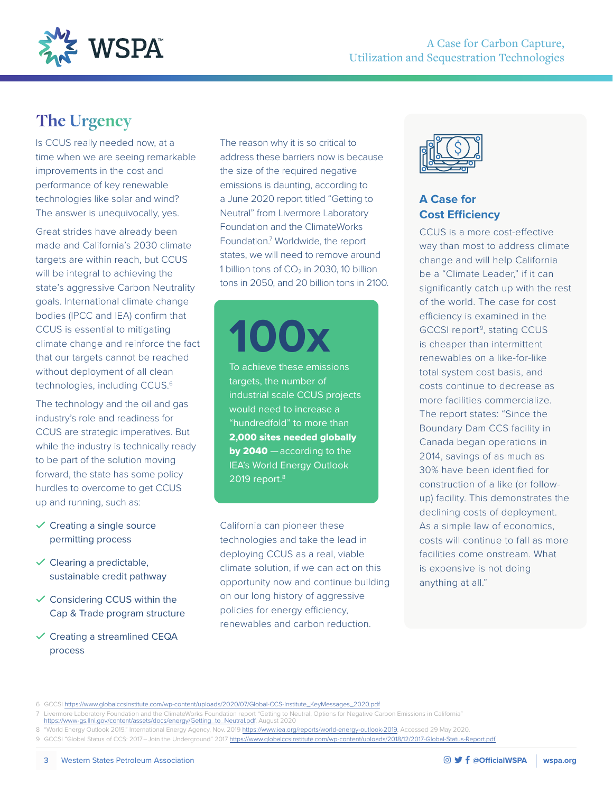

## **The Urgency**

Is CCUS really needed now, at a time when we are seeing remarkable improvements in the cost and performance of key renewable technologies like solar and wind? The answer is unequivocally, yes.

Great strides have already been made and California's 2030 climate targets are within reach, but CCUS will be integral to achieving the state's aggressive Carbon Neutrality goals. International climate change bodies (IPCC and IEA) confirm that CCUS is essential to mitigating climate change and reinforce the fact that our targets cannot be reached without deployment of all clean technologies, including CCUS.6

The technology and the oil and gas industry's role and readiness for CCUS are strategic imperatives. But while the industry is technically ready to be part of the solution moving forward, the state has some policy hurdles to overcome to get CCUS up and running, such as:

- $\checkmark$  Creating a single source permitting process
- $\checkmark$  Clearing a predictable, sustainable credit pathway
- $\checkmark$  Considering CCUS within the Cap & Trade program structure
- $\checkmark$  Creating a streamlined CEQA process

The reason why it is so critical to address these barriers now is because the size of the required negative emissions is daunting, according to a June 2020 report titled "Getting to Neutral" from Livermore Laboratory Foundation and the ClimateWorks Foundation.<sup>7</sup> Worldwide, the report states, we will need to remove around 1 billion tons of  $CO<sub>2</sub>$  in 2030, 10 billion tons in 2050, and 20 billion tons in 2100.

**100x**

To achieve these emissions targets, the number of industrial scale CCUS projects would need to increase a "hundredfold" to more than 2,000 sites needed globally by 2040 – according to the IEA's World Energy Outlook 2019 report.<sup>8</sup>

California can pioneer these technologies and take the lead in deploying CCUS as a real, viable climate solution, if we can act on this opportunity now and continue building on our long history of aggressive policies for energy efficiency, renewables and carbon reduction.



### **A Case for Cost Efficiency**

CCUS is a more cost-effective way than most to address climate change and will help California be a "Climate Leader," if it can significantly catch up with the rest of the world. The case for cost efficiency is examined in the GCCSI report<sup>9</sup>, stating CCUS is cheaper than intermittent renewables on a like-for-like total system cost basis, and costs continue to decrease as more facilities commercialize. The report states: "Since the Boundary Dam CCS facility in Canada began operations in 2014, savings of as much as 30% have been identified for construction of a like (or followup) facility. This demonstrates the declining costs of deployment. As a simple law of economics, costs will continue to fall as more facilities come onstream. What is expensive is not doing anything at all."

- [https://www-gs.llnl.gov/content/assets/docs/energy/Getting\\_to\\_Neutral.pdf](https://www-gs.llnl.gov/content/assets/docs/energy/Getting_to_Neutral.pdf), August 2020
- 8 "World Energy Outlook 2019." International Energy Agency, Nov. 2019 [https://www.iea.org/reports/world-energy-outlook-2019.](https://www.iea.org/reports/world-energy-outlook-2019) Accessed 29 May 2020. 9 GCCSI "Global Status of CCS: 2017-Join the Underground" 2017<https://www.globalccsinstitute.com/wp-content/uploads/2018/12/2017-Global-Status-Report.pdf>

<sup>6</sup> GCCSI [https://www.globalccsinstitute.com/wp-content/uploads/2020/07/Global-CCS-Institute\\_KeyMessages\\_2020.pdf](https://www.globalccsinstitute.com/wp-content/uploads/2020/07/Global-CCS-Institute_KeyMessages_2020.pdf)

<sup>7</sup> Livermore Laboratory Foundation and the ClimateWorks Foundation report "Getting to Neutral, Options for Negative Carbon Emissions in California"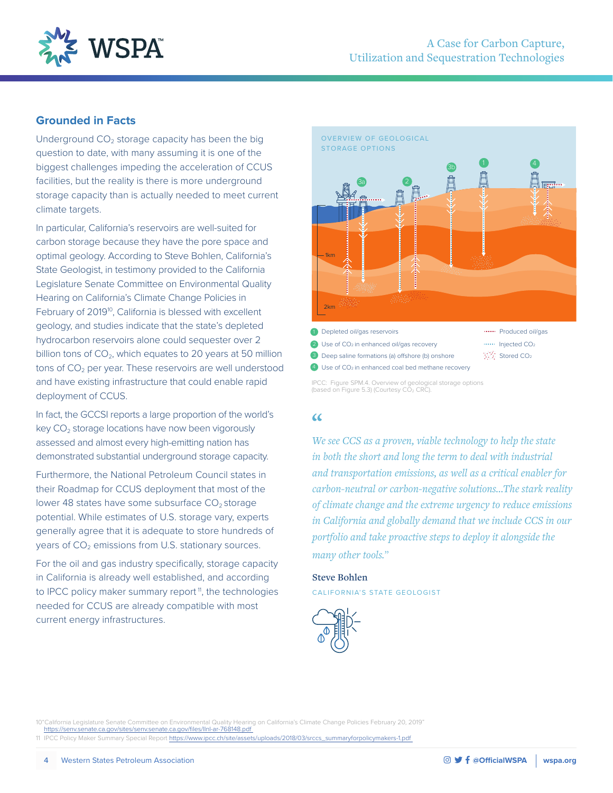

#### **Grounded in Facts**

Underground  $CO<sub>2</sub>$  storage capacity has been the big question to date, with many assuming it is one of the biggest challenges impeding the acceleration of CCUS facilities, but the reality is there is more underground storage capacity than is actually needed to meet current climate targets.

In particular, California's reservoirs are well-suited for carbon storage because they have the pore space and optimal geology. According to Steve Bohlen, California's State Geologist, in testimony provided to the California Legislature Senate Committee on Environmental Quality Hearing on California's Climate Change Policies in February of 2019<sup>10</sup>, California is blessed with excellent geology, and studies indicate that the state's depleted hydrocarbon reservoirs alone could sequester over 2 billion tons of  $CO<sub>2</sub>$ , which equates to 20 years at 50 million tons of  $CO<sub>2</sub>$  per year. These reservoirs are well understood and have existing infrastructure that could enable rapid deployment of CCUS.

In fact, the GCCSI reports a large proportion of the world's key  $CO<sub>2</sub>$  storage locations have now been vigorously assessed and almost every high-emitting nation has demonstrated substantial underground storage capacity.

Furthermore, the National Petroleum Council states in their Roadmap for CCUS deployment that most of the lower 48 states have some subsurface  $CO<sub>2</sub>$  storage potential. While estimates of U.S. storage vary, experts generally agree that it is adequate to store hundreds of years of  $CO<sub>2</sub>$  emissions from U.S. stationary sources.

For the oil and gas industry specifically, storage capacity in California is already well established, and according to IPCC policy maker summary report<sup> $<sup>n</sup>$ </sup>, the technologies</sup> needed for CCUS are already compatible with most current energy infrastructures.



<sup>3</sup> Deep saline formations (a) offshore (b) onshore

4 Use of CO<sub>2</sub> in enhanced coal bed methane recovery

IPCC: Figure SPM.4. Overview of geological storage options (based on Figure 5.3) (Courtesy CO2 CRC).

#### $\alpha$

*We see CCS as a proven, viable technology to help the state in both the short and long the term to deal with industrial and transportation emissions, as well as a critical enabler for carbon-neutral or carbon-negative solutions…The stark reality of climate change and the extreme urgency to reduce emissions in California and globally demand that we include CCS in our portfolio and take proactive steps to deploy it alongside the many other tools.*"

**Steve Bohlen** CALIFORNIA'S STATE GEOLOGIST



10"California Legislature Senate Committee on Environmental Quality Hearing on California's Climate Change Policies February 20, 2019" <https://senv.senate.ca.gov/sites/senv.senate.ca.gov/files/llnl-ar-768148.pdf> 11 IPCC Policy Maker Summary Special Report [https://www.ipcc.ch/site/assets/uploads/2018/03/srccs\\_summaryforpolicymakers-1.pdf](https://www.ipcc.ch/site/assets/uploads/2018/03/srccs_summaryforpolicymakers-1.pdf) 

製造 Stored CO<sub>2</sub>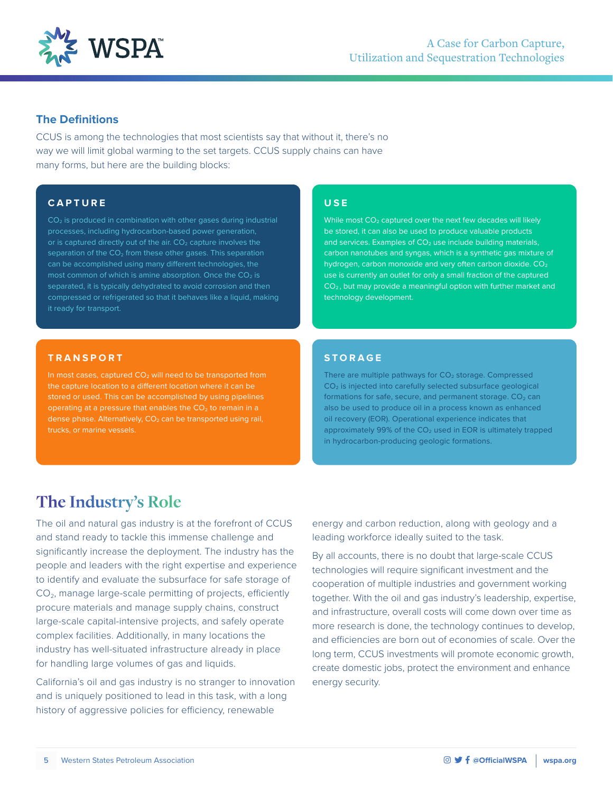

#### **The Definitions**

CCUS is among the technologies that most scientists say that without it, there's no way we will limit global warming to the set targets. CCUS supply chains can have many forms, but here are the building blocks:

#### **CAPTURE**

CO<sub>2</sub> is produced in combination with other gases during industrial processes, including hydrocarbon-based power generation, separation of the  $CO<sub>2</sub>$  from these other gases. This separation can be accomplished using many different technologies, the most common of which is amine absorption. Once the  $CO<sub>2</sub>$  is

#### **TRANSPORT**

In most cases, captured  $CO<sub>2</sub>$  will need to be transported from the capture location to a different location where it can be stored or used. This can be accomplished by using pipelines operating at a pressure that enables the  $CO<sub>2</sub>$  to remain in a dense phase. Alternatively,  $CO<sub>2</sub>$  can be transported using rail,

#### **USE**

While most  $CO<sub>2</sub>$  captured over the next few decades will likely be stored, it can also be used to produce valuable products and services. Examples of  $CO<sub>2</sub>$  use include building materials, carbon nanotubes and syngas, which is a synthetic gas mixture of hydrogen, carbon monoxide and very often carbon dioxide. CO<sub>2</sub> use is currently an outlet for only a small fraction of the captured CO2 , but may provide a meaningful option with further market and technology development.

#### **STORAGE**

There are multiple pathways for CO<sub>2</sub> storage. Compressed  $CO<sub>2</sub>$  is injected into carefully selected subsurface geological formations for safe, secure, and permanent storage.  $CO<sub>2</sub>$  can also be used to produce oil in a process known as enhanced oil recovery (EOR). Operational experience indicates that approximately 99% of the  $CO<sub>2</sub>$  used in EOR is ultimately trapped in hydrocarbon-producing geologic formations.

### **The Industry's Role**

The oil and natural gas industry is at the forefront of CCUS and stand ready to tackle this immense challenge and significantly increase the deployment. The industry has the people and leaders with the right expertise and experience to identify and evaluate the subsurface for safe storage of CO<sub>2</sub>, manage large-scale permitting of projects, efficiently procure materials and manage supply chains, construct large-scale capital-intensive projects, and safely operate complex facilities. Additionally, in many locations the industry has well-situated infrastructure already in place for handling large volumes of gas and liquids.

California's oil and gas industry is no stranger to innovation and is uniquely positioned to lead in this task, with a long history of aggressive policies for efficiency, renewable

energy and carbon reduction, along with geology and a leading workforce ideally suited to the task.

By all accounts, there is no doubt that large-scale CCUS technologies will require significant investment and the cooperation of multiple industries and government working together. With the oil and gas industry's leadership, expertise, and infrastructure, overall costs will come down over time as more research is done, the technology continues to develop, and efficiencies are born out of economies of scale. Over the long term, CCUS investments will promote economic growth, create domestic jobs, protect the environment and enhance energy security.